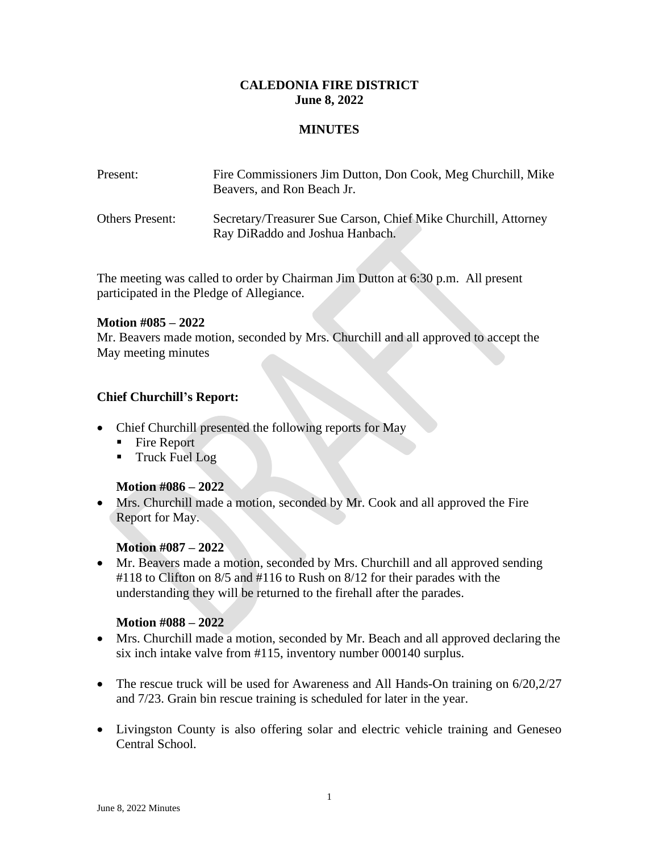## **CALEDONIA FIRE DISTRICT June 8, 2022**

### **MINUTES**

| Present:               | Fire Commissioners Jim Dutton, Don Cook, Meg Churchill, Mike<br>Beavers, and Ron Beach Jr.        |
|------------------------|---------------------------------------------------------------------------------------------------|
| <b>Others Present:</b> | Secretary/Treasurer Sue Carson, Chief Mike Churchill, Attorney<br>Ray DiRaddo and Joshua Hanbach. |

The meeting was called to order by Chairman Jim Dutton at 6:30 p.m. All present participated in the Pledge of Allegiance.

#### **Motion #085 – 2022**

Mr. Beavers made motion, seconded by Mrs. Churchill and all approved to accept the May meeting minutes

### **Chief Churchill's Report:**

- Chief Churchill presented the following reports for May
	- Fire Report
	- **Truck Fuel Log**

### **Motion #086 – 2022**

• Mrs. Churchill made a motion, seconded by Mr. Cook and all approved the Fire Report for May.

### **Motion #087 – 2022**

• Mr. Beavers made a motion, seconded by Mrs. Churchill and all approved sending #118 to Clifton on 8/5 and #116 to Rush on 8/12 for their parades with the understanding they will be returned to the firehall after the parades.

### **Motion #088 – 2022**

- Mrs. Churchill made a motion, seconded by Mr. Beach and all approved declaring the six inch intake valve from #115, inventory number 000140 surplus.
- The rescue truck will be used for Awareness and All Hands-On training on  $6/20,2/27$ and 7/23. Grain bin rescue training is scheduled for later in the year.
- Livingston County is also offering solar and electric vehicle training and Geneseo Central School.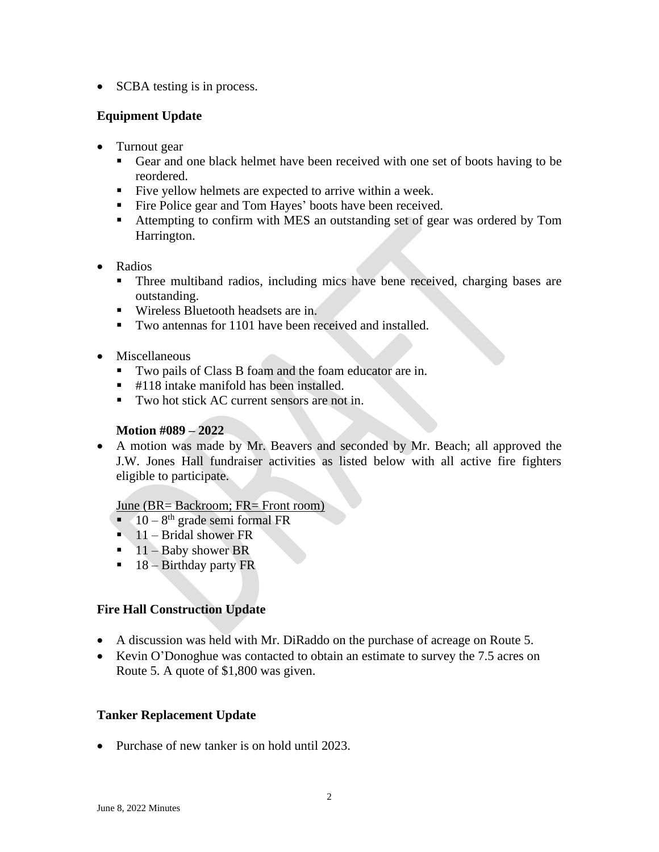• SCBA testing is in process.

# **Equipment Update**

- Turnout gear
	- Gear and one black helmet have been received with one set of boots having to be reordered.
	- Five yellow helmets are expected to arrive within a week.
	- Fire Police gear and Tom Hayes' boots have been received.
	- Attempting to confirm with MES an outstanding set of gear was ordered by Tom Harrington.
- Radios
	- Three multiband radios, including mics have bene received, charging bases are outstanding.
	- Wireless Bluetooth headsets are in.
	- Two antennas for 1101 have been received and installed.
- Miscellaneous
	- Two pails of Class B foam and the foam educator are in.
	- $\blacksquare$  #118 intake manifold has been installed.
	- Two hot stick AC current sensors are not in.

## **Motion #089 – 2022**

• A motion was made by Mr. Beavers and seconded by Mr. Beach; all approved the J.W. Jones Hall fundraiser activities as listed below with all active fire fighters eligible to participate.

### June (BR= Backroom; FR= Front room)

- $\blacksquare$  10 8<sup>th</sup> grade semi formal FR
- $\blacksquare$  11 Bridal shower FR
- $\blacksquare$  11 Baby shower BR
- $\blacksquare$  18 Birthday party FR

## **Fire Hall Construction Update**

- A discussion was held with Mr. DiRaddo on the purchase of acreage on Route 5.
- Kevin O'Donoghue was contacted to obtain an estimate to survey the 7.5 acres on Route 5. A quote of \$1,800 was given.

## **Tanker Replacement Update**

• Purchase of new tanker is on hold until 2023.